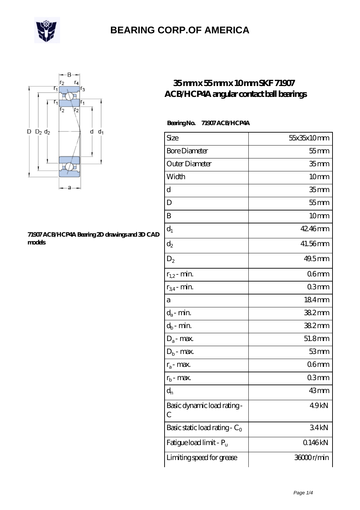



#### **[71907 ACB/HCP4A Bearing 2D drawings and 3D CAD](https://m.giftassortment.com/pic-455454.html) [models](https://m.giftassortment.com/pic-455454.html)**

### **[35 mm x 55 mm x 10 mm SKF 71907](https://m.giftassortment.com/skf-71907-acb-hcp4a-bearing/) [ACB/HCP4A angular contact ball bearings](https://m.giftassortment.com/skf-71907-acb-hcp4a-bearing/)**

#### **Bearing No. 71907 ACB/HCP4A**

| Size                             | 55x35x10mm           |
|----------------------------------|----------------------|
| <b>Bore Diameter</b>             | $55$ mm              |
| Outer Diameter                   | 35 <sub>mm</sub>     |
| Width                            | 10 <sub>mm</sub>     |
| d                                | 35 <sub>mm</sub>     |
| D                                | $55$ mm              |
| B                                | 10mm                 |
| $d_1$                            | 42.46mm              |
| $\mathrm{d}_2$                   | 41.56mm              |
| $D_2$                            | $49.5$ <sub>mm</sub> |
| $r_{1,2}$ - min.                 | 06mm                 |
| $r_{34}$ - min.                  | 03mm                 |
| a                                | 184mm                |
| $d_a$ - min.                     | 382mm                |
| $d_b$ - min.                     | 382mm                |
| $D_a$ - max.                     | 51.8mm               |
| $D_b$ - max.                     | 53mm                 |
| $r_a$ - max.                     | 06 <sub>mm</sub>     |
| $r_{b}$ - max.                   | 03mm                 |
| $d_{n}$                          | 43mm                 |
| Basic dynamic load rating-<br>С  | 49kN                 |
| Basic static load rating - $C_0$ | 34kN                 |
| Fatigue load limit - Pu          | Q146kN               |
| Limiting speed for grease        | 36000r/min           |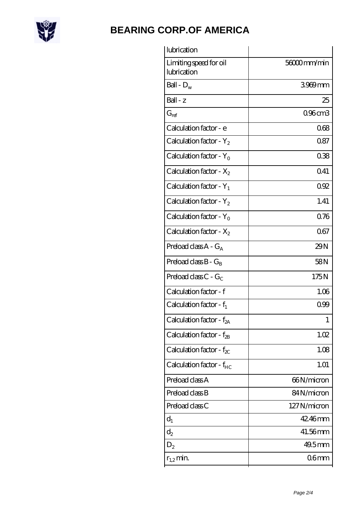

| lubrication                           |                  |
|---------------------------------------|------------------|
| Limiting speed for oil<br>lubrication | 56000mm/min      |
| Ball - $D_w$                          | 3969mm           |
| $Ball - z$                            | 25               |
| $G_{\mathrm{ref}}$                    | 096cm3           |
| Calculation factor - e                | 068              |
| Calculation factor - $Y_2$            | 087              |
| Calculation factor - $Y_0$            | 038              |
| Calculation factor - $X_2$            | 041              |
| Calculation factor - $Y_1$            | 092              |
| Calculation factor - $Y_2$            | 1.41             |
| Calculation factor - $Y_0$            | 0.76             |
| Calculation factor - $X_2$            | 067              |
| Preload class $A - G_A$               | 29N              |
| Preload class $B - G_B$               | 58N              |
| Preload class $C - G_C$               | 175N             |
| Calculation factor - f                | 1.06             |
| Calculation factor - $f_1$            | 0.99             |
| Calculation factor - f <sub>2A</sub>  | 1                |
| Calculation factor - $f_{2B}$         | 1.02             |
| Calculation factor - $f_{\chi}$       | 1.08             |
| Calculation factor - f <sub>HC</sub>  | 1.01             |
| Preload class A                       | 66N/micron       |
| Preload class B                       | 84N/micron       |
| Preload class C                       | 127N/micron      |
| $d_1$                                 | 42.46mm          |
| $d_2$                                 | 41.56mm          |
| $D_2$                                 | $49.5$ mm        |
| $r_{1,2}$ min.                        | 06 <sub>mm</sub> |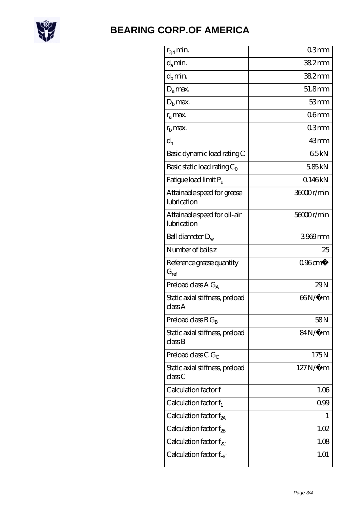

| $r_{34}$ min.                               | 03mm                  |
|---------------------------------------------|-----------------------|
| $d_a$ min.                                  | $382$ mm              |
| $d_h$ min.                                  | 382mm                 |
| $D_a$ max.                                  | 51.8mm                |
| $Db$ max.                                   | 53mm                  |
| $r_a$ max.                                  | 06 <sub>mm</sub>      |
| $r_{\rm b}$ max.                            | 03mm                  |
| $d_{n}$                                     | 43mm                  |
| Basic dynamic load rating C                 | 65kN                  |
| Basic static load rating $C_0$              | 5.85kN                |
| Fatigue load limit Pu                       | 0.146kN               |
| Attainable speed for grease<br>lubrication  | 36000r/min            |
| Attainable speed for oil-air<br>lubrication | 56000r/min            |
| Ball diameter $D_w$                         | 3969mm                |
| Number of balls z                           | 25                    |
| Reference grease quantity<br>$G_{\rm ref}$  | $096$ cm <sup>3</sup> |
|                                             |                       |
| Preload class A $G_A$                       | 29N                   |
| Static axial stiffness, preload<br>classA   | 66N/μ m               |
| Preload class $B G_B$                       | 58 <sub>N</sub>       |
| Static axial stiffness, preload<br>classB   | 84N/μ m               |
| Preload class C $G_C$                       | 175N                  |
| Static axial stiffness, preload<br>classC   | $127N/\mu$ m          |
| Calculation factor f                        | 1.06                  |
| Calculation factor $f_1$                    | 099                   |
| Calculation factor $f_{2A}$                 | T                     |
| Calculation factor $f_{\rm 2B}$             | 1.02                  |
| Calculation factor $f_{\chi}$               | 1.08                  |
| Calculation factor $f_{HC}$                 | 1.01                  |